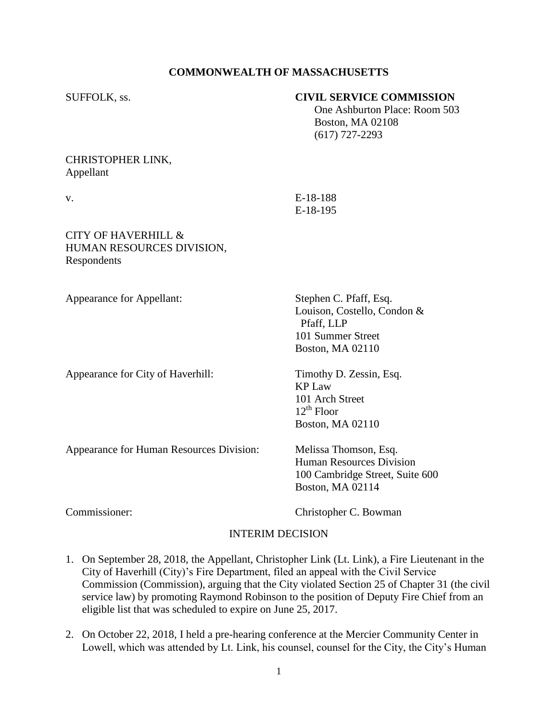# **COMMONWEALTH OF MASSACHUSETTS**

SUFFOLK, ss. **CIVIL SERVICE COMMISSION**

|                                                                            | One Ashburton Place: Room 503<br><b>Boston, MA 02108</b><br>$(617)$ 727-2293                                    |
|----------------------------------------------------------------------------|-----------------------------------------------------------------------------------------------------------------|
| CHRISTOPHER LINK,<br>Appellant                                             |                                                                                                                 |
| V.                                                                         | E-18-188<br>E-18-195                                                                                            |
| <b>CITY OF HAVERHILL &amp;</b><br>HUMAN RESOURCES DIVISION,<br>Respondents |                                                                                                                 |
| Appearance for Appellant:                                                  | Stephen C. Pfaff, Esq.<br>Louison, Costello, Condon &<br>Pfaff, LLP<br>101 Summer Street<br>Boston, MA 02110    |
| Appearance for City of Haverhill:                                          | Timothy D. Zessin, Esq.<br><b>KP Law</b><br>101 Arch Street<br>$12^{th}$ Floor<br>Boston, MA 02110              |
| Appearance for Human Resources Division:                                   | Melissa Thomson, Esq.<br><b>Human Resources Division</b><br>100 Cambridge Street, Suite 600<br>Boston, MA 02114 |

Commissioner: Christopher C. Bowman

## INTERIM DECISION

- 1. On September 28, 2018, the Appellant, Christopher Link (Lt. Link), a Fire Lieutenant in the City of Haverhill (City)'s Fire Department, filed an appeal with the Civil Service Commission (Commission), arguing that the City violated Section 25 of Chapter 31 (the civil service law) by promoting Raymond Robinson to the position of Deputy Fire Chief from an eligible list that was scheduled to expire on June 25, 2017.
- 2. On October 22, 2018, I held a pre-hearing conference at the Mercier Community Center in Lowell, which was attended by Lt. Link, his counsel, counsel for the City, the City's Human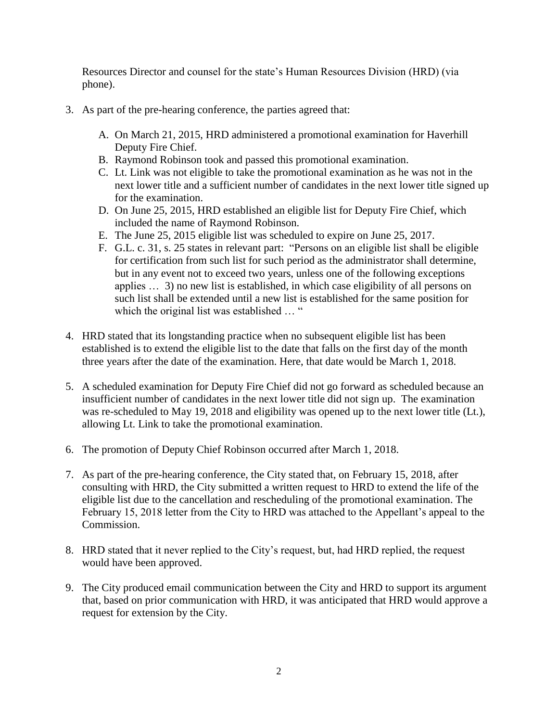Resources Director and counsel for the state's Human Resources Division (HRD) (via phone).

- 3. As part of the pre-hearing conference, the parties agreed that:
	- A. On March 21, 2015, HRD administered a promotional examination for Haverhill Deputy Fire Chief.
	- B. Raymond Robinson took and passed this promotional examination.
	- C. Lt. Link was not eligible to take the promotional examination as he was not in the next lower title and a sufficient number of candidates in the next lower title signed up for the examination.
	- D. On June 25, 2015, HRD established an eligible list for Deputy Fire Chief, which included the name of Raymond Robinson.
	- E. The June 25, 2015 eligible list was scheduled to expire on June 25, 2017.
	- F. G.L. c. 31, s. 25 states in relevant part: "Persons on an eligible list shall be eligible for certification from such list for such period as the administrator shall determine, but in any event not to exceed two years, unless one of the following exceptions applies … 3) no new list is established, in which case eligibility of all persons on such list shall be extended until a new list is established for the same position for which the original list was established ... "
- 4. HRD stated that its longstanding practice when no subsequent eligible list has been established is to extend the eligible list to the date that falls on the first day of the month three years after the date of the examination. Here, that date would be March 1, 2018.
- 5. A scheduled examination for Deputy Fire Chief did not go forward as scheduled because an insufficient number of candidates in the next lower title did not sign up. The examination was re-scheduled to May 19, 2018 and eligibility was opened up to the next lower title (Lt.), allowing Lt. Link to take the promotional examination.
- 6. The promotion of Deputy Chief Robinson occurred after March 1, 2018.
- 7. As part of the pre-hearing conference, the City stated that, on February 15, 2018, after consulting with HRD, the City submitted a written request to HRD to extend the life of the eligible list due to the cancellation and rescheduling of the promotional examination. The February 15, 2018 letter from the City to HRD was attached to the Appellant's appeal to the Commission.
- 8. HRD stated that it never replied to the City's request, but, had HRD replied, the request would have been approved.
- 9. The City produced email communication between the City and HRD to support its argument that, based on prior communication with HRD, it was anticipated that HRD would approve a request for extension by the City.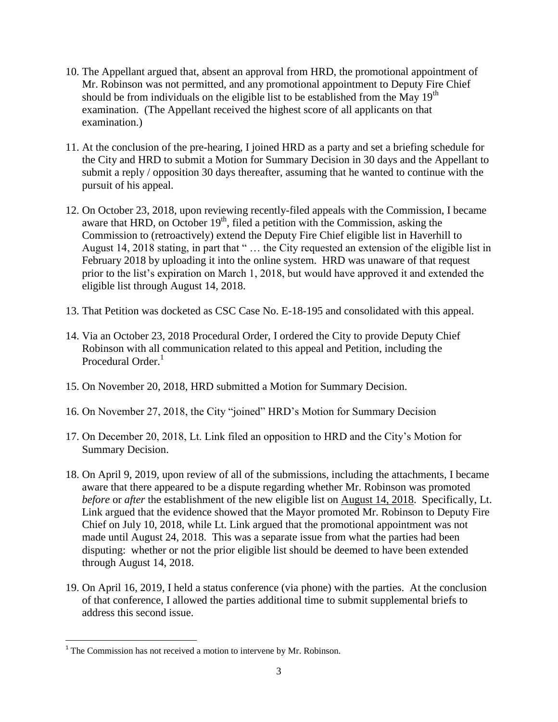- 10. The Appellant argued that, absent an approval from HRD, the promotional appointment of Mr. Robinson was not permitted, and any promotional appointment to Deputy Fire Chief should be from individuals on the eligible list to be established from the May  $19<sup>th</sup>$ examination. (The Appellant received the highest score of all applicants on that examination.)
- 11. At the conclusion of the pre-hearing, I joined HRD as a party and set a briefing schedule for the City and HRD to submit a Motion for Summary Decision in 30 days and the Appellant to submit a reply / opposition 30 days thereafter, assuming that he wanted to continue with the pursuit of his appeal.
- 12. On October 23, 2018, upon reviewing recently-filed appeals with the Commission, I became aware that HRD, on October  $19<sup>th</sup>$ , filed a petition with the Commission, asking the Commission to (retroactively) extend the Deputy Fire Chief eligible list in Haverhill to August 14, 2018 stating, in part that " … the City requested an extension of the eligible list in February 2018 by uploading it into the online system. HRD was unaware of that request prior to the list's expiration on March 1, 2018, but would have approved it and extended the eligible list through August 14, 2018.
- 13. That Petition was docketed as CSC Case No. E-18-195 and consolidated with this appeal.
- 14. Via an October 23, 2018 Procedural Order, I ordered the City to provide Deputy Chief Robinson with all communication related to this appeal and Petition, including the Procedural Order.<sup>1</sup>
- 15. On November 20, 2018, HRD submitted a Motion for Summary Decision.
- 16. On November 27, 2018, the City "joined" HRD's Motion for Summary Decision
- 17. On December 20, 2018, Lt. Link filed an opposition to HRD and the City's Motion for Summary Decision.
- 18. On April 9, 2019, upon review of all of the submissions, including the attachments, I became aware that there appeared to be a dispute regarding whether Mr. Robinson was promoted *before* or *after* the establishment of the new eligible list on August 14, 2018. Specifically, Lt. Link argued that the evidence showed that the Mayor promoted Mr. Robinson to Deputy Fire Chief on July 10, 2018, while Lt. Link argued that the promotional appointment was not made until August 24, 2018. This was a separate issue from what the parties had been disputing: whether or not the prior eligible list should be deemed to have been extended through August 14, 2018.
- 19. On April 16, 2019, I held a status conference (via phone) with the parties. At the conclusion of that conference, I allowed the parties additional time to submit supplemental briefs to address this second issue.

 $\overline{\phantom{a}}$ 

 $1$ <sup>1</sup> The Commission has not received a motion to intervene by Mr. Robinson.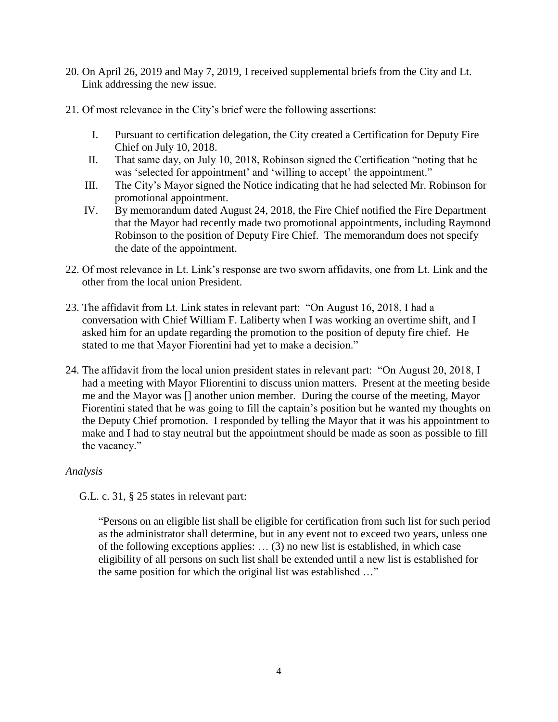- 20. On April 26, 2019 and May 7, 2019, I received supplemental briefs from the City and Lt. Link addressing the new issue.
- 21. Of most relevance in the City's brief were the following assertions:
	- I. Pursuant to certification delegation, the City created a Certification for Deputy Fire Chief on July 10, 2018.
	- II. That same day, on July 10, 2018, Robinson signed the Certification "noting that he was 'selected for appointment' and 'willing to accept' the appointment."
	- III. The City's Mayor signed the Notice indicating that he had selected Mr. Robinson for promotional appointment.
	- IV. By memorandum dated August 24, 2018, the Fire Chief notified the Fire Department that the Mayor had recently made two promotional appointments, including Raymond Robinson to the position of Deputy Fire Chief. The memorandum does not specify the date of the appointment.
- 22. Of most relevance in Lt. Link's response are two sworn affidavits, one from Lt. Link and the other from the local union President.
- 23. The affidavit from Lt. Link states in relevant part: "On August 16, 2018, I had a conversation with Chief William F. Laliberty when I was working an overtime shift, and I asked him for an update regarding the promotion to the position of deputy fire chief. He stated to me that Mayor Fiorentini had yet to make a decision."
- 24. The affidavit from the local union president states in relevant part: "On August 20, 2018, I had a meeting with Mayor Fliorentini to discuss union matters. Present at the meeting beside me and the Mayor was [] another union member. During the course of the meeting, Mayor Fiorentini stated that he was going to fill the captain's position but he wanted my thoughts on the Deputy Chief promotion. I responded by telling the Mayor that it was his appointment to make and I had to stay neutral but the appointment should be made as soon as possible to fill the vacancy."

# *Analysis*

G.L. c. 31, § 25 states in relevant part:

"Persons on an eligible list shall be eligible for certification from such list for such period as the administrator shall determine, but in any event not to exceed two years, unless one of the following exceptions applies: … (3) no new list is established, in which case eligibility of all persons on such list shall be extended until a new list is established for the same position for which the original list was established …"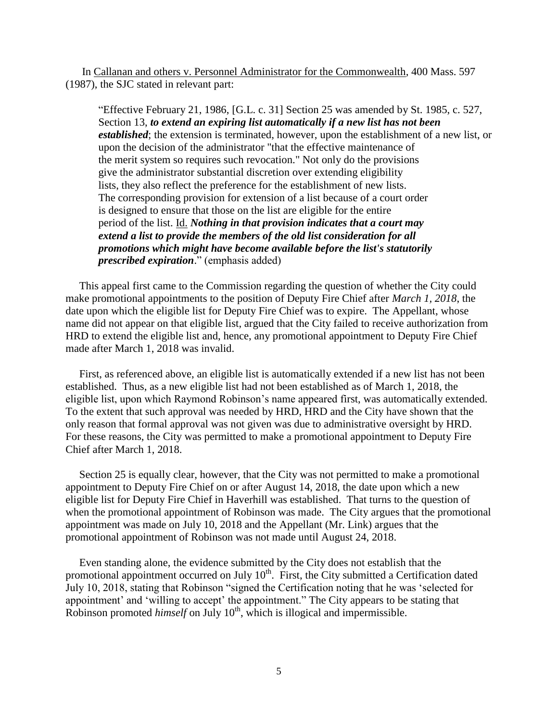In Callanan and others v. Personnel Administrator for the Commonwealth, 400 Mass. 597 (1987), the SJC stated in relevant part:

"Effective February 21, 1986, [G.L. c. 31] Section 25 was amended by St. 1985, c. 527, Section 13, *to extend an expiring list automatically if a new list has not been established*; the extension is terminated, however, upon the establishment of a new list, or upon the decision of the administrator "that the effective maintenance of the merit system so requires such revocation." Not only do the provisions give the administrator substantial discretion over extending eligibility lists, they also reflect the preference for the establishment of new lists. The corresponding provision for extension of a list because of a court order is designed to ensure that those on the list are eligible for the entire period of the list. Id. *Nothing in that provision indicates that a court may extend a list to provide the members of the old list consideration for all promotions which might have become available before the list's statutorily prescribed expiration*." (emphasis added)

 This appeal first came to the Commission regarding the question of whether the City could make promotional appointments to the position of Deputy Fire Chief after *March 1, 2018*, the date upon which the eligible list for Deputy Fire Chief was to expire. The Appellant, whose name did not appear on that eligible list, argued that the City failed to receive authorization from HRD to extend the eligible list and, hence, any promotional appointment to Deputy Fire Chief made after March 1, 2018 was invalid.

 First, as referenced above, an eligible list is automatically extended if a new list has not been established. Thus, as a new eligible list had not been established as of March 1, 2018, the eligible list, upon which Raymond Robinson's name appeared first, was automatically extended. To the extent that such approval was needed by HRD, HRD and the City have shown that the only reason that formal approval was not given was due to administrative oversight by HRD. For these reasons, the City was permitted to make a promotional appointment to Deputy Fire Chief after March 1, 2018.

 Section 25 is equally clear, however, that the City was not permitted to make a promotional appointment to Deputy Fire Chief on or after August 14, 2018, the date upon which a new eligible list for Deputy Fire Chief in Haverhill was established. That turns to the question of when the promotional appointment of Robinson was made. The City argues that the promotional appointment was made on July 10, 2018 and the Appellant (Mr. Link) argues that the promotional appointment of Robinson was not made until August 24, 2018.

 Even standing alone, the evidence submitted by the City does not establish that the promotional appointment occurred on July  $10<sup>th</sup>$ . First, the City submitted a Certification dated July 10, 2018, stating that Robinson "signed the Certification noting that he was 'selected for appointment' and 'willing to accept' the appointment." The City appears to be stating that Robinson promoted *himself* on July 10<sup>th</sup>, which is illogical and impermissible.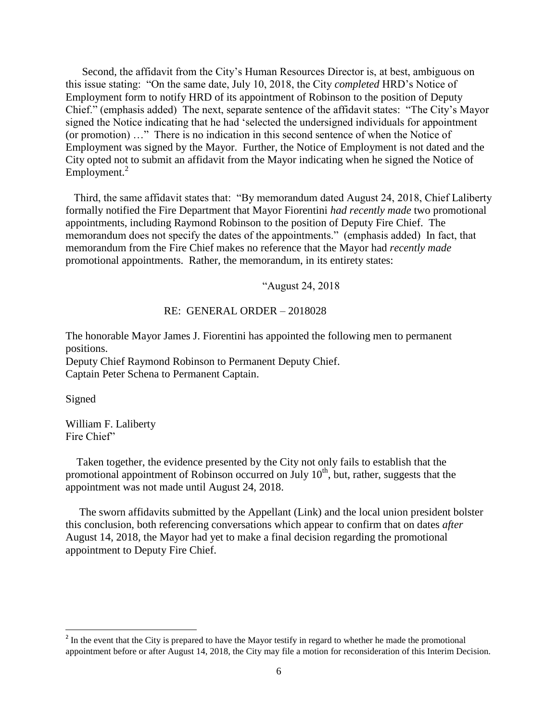Second, the affidavit from the City's Human Resources Director is, at best, ambiguous on this issue stating: "On the same date, July 10, 2018, the City *completed* HRD's Notice of Employment form to notify HRD of its appointment of Robinson to the position of Deputy Chief." (emphasis added) The next, separate sentence of the affidavit states: "The City's Mayor signed the Notice indicating that he had 'selected the undersigned individuals for appointment (or promotion) …" There is no indication in this second sentence of when the Notice of Employment was signed by the Mayor. Further, the Notice of Employment is not dated and the City opted not to submit an affidavit from the Mayor indicating when he signed the Notice of  $Emplovement.<sup>2</sup>$ 

 Third, the same affidavit states that: "By memorandum dated August 24, 2018, Chief Laliberty formally notified the Fire Department that Mayor Fiorentini *had recently made* two promotional appointments, including Raymond Robinson to the position of Deputy Fire Chief. The memorandum does not specify the dates of the appointments." (emphasis added) In fact, that memorandum from the Fire Chief makes no reference that the Mayor had *recently made* promotional appointments. Rather, the memorandum, in its entirety states:

"August 24, 2018

#### RE: GENERAL ORDER – 2018028

The honorable Mayor James J. Fiorentini has appointed the following men to permanent positions.

Deputy Chief Raymond Robinson to Permanent Deputy Chief. Captain Peter Schena to Permanent Captain.

Signed

William F. Laliberty Fire Chief"

 Taken together, the evidence presented by the City not only fails to establish that the promotional appointment of Robinson occurred on July 10<sup>th</sup>, but, rather, suggests that the appointment was not made until August 24, 2018.

 The sworn affidavits submitted by the Appellant (Link) and the local union president bolster this conclusion, both referencing conversations which appear to confirm that on dates *after* August 14, 2018, the Mayor had yet to make a final decision regarding the promotional appointment to Deputy Fire Chief.

<sup>&</sup>lt;sup>2</sup> In the event that the City is prepared to have the Mayor testify in regard to whether he made the promotional appointment before or after August 14, 2018, the City may file a motion for reconsideration of this Interim Decision.